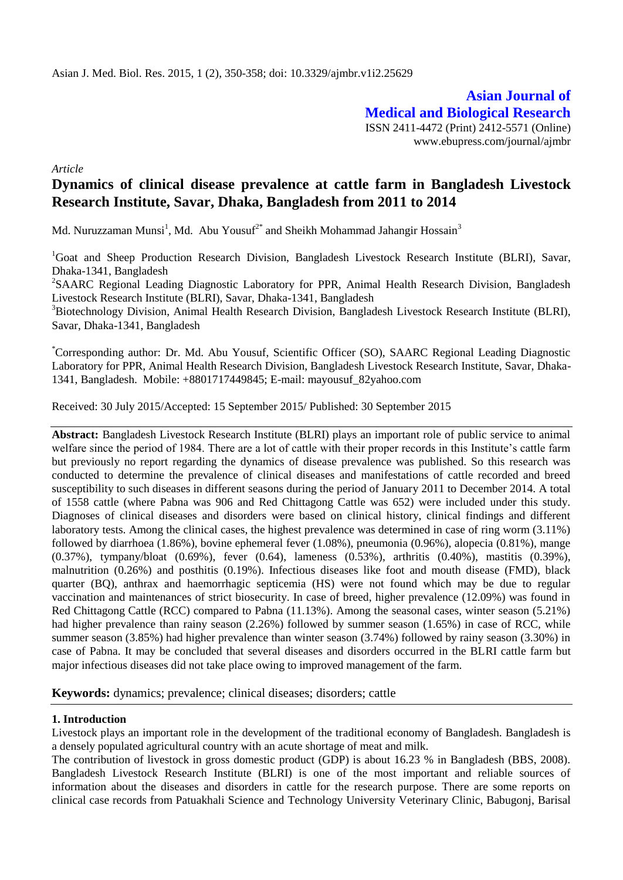**Asian Journal of Medical and Biological Research** ISSN 2411-4472 (Print) 2412-5571 (Online) www.ebupress.com/journal/ajmbr

*Article*

# **Dynamics of clinical disease prevalence at cattle farm in Bangladesh Livestock Research Institute, Savar, Dhaka, Bangladesh from 2011 to 2014**

Md. Nuruzzaman Munsi $^1$ , Md. Abu Yousuf $^{2^\ast}$  and Sheikh Mohammad Jahangir Hossain $^3$ 

<sup>1</sup>Goat and Sheep Production Research Division, Bangladesh Livestock Research Institute (BLRI), Savar, Dhaka-1341, Bangladesh

<sup>2</sup>SAARC Regional Leading Diagnostic Laboratory for PPR, Animal Health Research Division, Bangladesh Livestock Research Institute (BLRI), Savar, Dhaka-1341, Bangladesh

<sup>3</sup>Biotechnology Division, Animal Health Research Division, Bangladesh Livestock Research Institute (BLRI), Savar, Dhaka-1341, Bangladesh

\*Corresponding author: Dr. Md. Abu Yousuf, Scientific Officer (SO), SAARC Regional Leading Diagnostic Laboratory for PPR, Animal Health Research Division, Bangladesh Livestock Research Institute, Savar, Dhaka-1341, Bangladesh. Mobile: +8801717449845; E-mail: [mayousuf\\_82yahoo.com](mailto:mrislam210@hotmail.com)

Received: 30 July 2015/Accepted: 15 September 2015/ Published: 30 September 2015

**Abstract:** Bangladesh Livestock Research Institute (BLRI) plays an important role of public service to animal welfare since the period of 1984. There are a lot of cattle with their proper records in this Institute's cattle farm but previously no report regarding the dynamics of disease prevalence was published. So this research was conducted to determine the prevalence of clinical diseases and manifestations of cattle recorded and breed susceptibility to such diseases in different seasons during the period of January 2011 to December 2014. A total of 1558 cattle (where Pabna was 906 and Red Chittagong Cattle was 652) were included under this study. Diagnoses of clinical diseases and disorders were based on clinical history, clinical findings and different laboratory tests. Among the clinical cases, the highest prevalence was determined in case of ring worm (3.11%) followed by diarrhoea (1.86%), bovine ephemeral fever (1.08%), pneumonia (0.96%), alopecia (0.81%), mange (0.37%), tympany/bloat (0.69%), fever (0.64), lameness (0.53%), arthritis (0.40%), mastitis (0.39%), malnutrition (0.26%) and posthitis (0.19%). Infectious diseases like foot and mouth disease (FMD), black quarter (BQ), anthrax and haemorrhagic septicemia (HS) were not found which may be due to regular vaccination and maintenances of strict biosecurity. In case of breed, higher prevalence (12.09%) was found in Red Chittagong Cattle (RCC) compared to Pabna (11.13%). Among the seasonal cases, winter season (5.21%) had higher prevalence than rainy season (2.26%) followed by summer season (1.65%) in case of RCC, while summer season (3.85%) had higher prevalence than winter season (3.74%) followed by rainy season (3.30%) in case of Pabna. It may be concluded that several diseases and disorders occurred in the BLRI cattle farm but major infectious diseases did not take place owing to improved management of the farm.

**Keywords:** dynamics; prevalence; clinical diseases; disorders; cattle

#### **1. Introduction**

Livestock plays an important role in the development of the traditional economy of Bangladesh. Bangladesh is a densely populated agricultural country with an acute shortage of meat and milk.

The contribution of livestock in gross domestic product (GDP) is about 16.23 % in Bangladesh (BBS, 2008). Bangladesh Livestock Research Institute (BLRI) is one of the most important and reliable sources of information about the diseases and disorders in cattle for the research purpose. There are some reports on clinical case records from Patuakhali Science and Technology University Veterinary Clinic, Babugonj, Barisal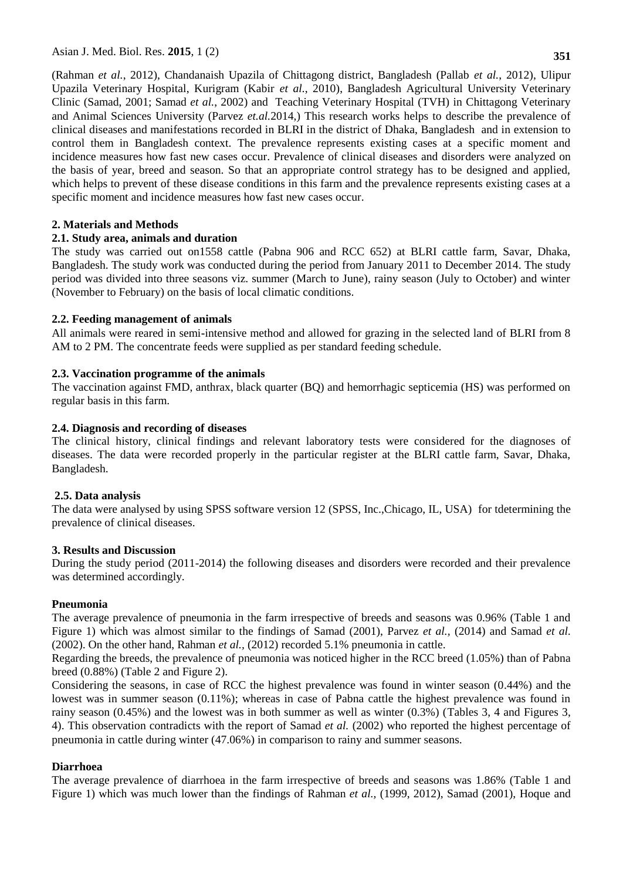(Rahman *et al.*, 2012), Chandanaish Upazila of Chittagong district, Bangladesh (Pallab *et al.*, 2012), Ulipur Upazila Veterinary Hospital, Kurigram (Kabir *et al.*, 2010), Bangladesh Agricultural University Veterinary Clinic (Samad, 2001; Samad *et al.*, 2002) and Teaching Veterinary Hospital (TVH) in Chittagong Veterinary and Animal Sciences University (Parvez *et.al.*2014,) This research works helps to describe the prevalence of clinical diseases and manifestations recorded in BLRI in the district of Dhaka, Bangladesh and in extension to control them in Bangladesh context. The prevalence represents existing cases at a specific moment and incidence measures how fast new cases occur. Prevalence of clinical diseases and disorders were analyzed on the basis of year, breed and season. So that an appropriate control strategy has to be designed and applied, which helps to prevent of these disease conditions in this farm and the prevalence represents existing cases at a

### **2. Materials and Methods**

### **2.1. Study area, animals and duration**

specific moment and incidence measures how fast new cases occur.

The study was carried out on1558 cattle (Pabna 906 and RCC 652) at BLRI cattle farm, Savar, Dhaka, Bangladesh. The study work was conducted during the period from January 2011 to December 2014. The study period was divided into three seasons viz. summer (March to June), rainy season (July to October) and winter (November to February) on the basis of local climatic conditions.

### **2.2. Feeding management of animals**

All animals were reared in semi**-**intensive method and allowed for grazing in the selected land of BLRI from 8 AM to 2 PM. The concentrate feeds were supplied as per standard feeding schedule.

### **2.3. Vaccination programme of the animals**

The vaccination against FMD, anthrax, black quarter (BQ) and hemorrhagic septicemia (HS) was performed on regular basis in this farm.

### **2.4. Diagnosis and recording of diseases**

The clinical history, clinical findings and relevant laboratory tests were considered for the diagnoses of diseases. The data were recorded properly in the particular register at the BLRI cattle farm, Savar, Dhaka, Bangladesh.

#### **2.5. Data analysis**

The data were analysed by using SPSS software version 12 (SPSS, Inc.,Chicago, IL, USA) for tdetermining the prevalence of clinical diseases.

#### **3. Results and Discussion**

During the study period (2011-2014) the following diseases and disorders were recorded and their prevalence was determined accordingly.

#### **Pneumonia**

The average prevalence of pneumonia in the farm irrespective of breeds and seasons was 0.96% (Table 1 and Figure 1) which was almost similar to the findings of Samad (2001), Parvez *et al.,* (2014) and Samad *et al.*  (2002). On the other hand, Rahman *et al.,* (2012) recorded 5.1% pneumonia in cattle.

Regarding the breeds, the prevalence of pneumonia was noticed higher in the RCC breed (1.05%) than of Pabna breed (0.88%) (Table 2 and Figure 2).

Considering the seasons, in case of RCC the highest prevalence was found in winter season (0.44%) and the lowest was in summer season (0.11%); whereas in case of Pabna cattle the highest prevalence was found in rainy season (0.45%) and the lowest was in both summer as well as winter (0.3%) (Tables 3, 4 and Figures 3, 4). This observation contradicts with the report of Samad *et al.* (2002) who reported the highest percentage of pneumonia in cattle during winter (47.06%) in comparison to rainy and summer seasons.

#### **Diarrhoea**

The average prevalence of diarrhoea in the farm irrespective of breeds and seasons was 1.86% (Table 1 and Figure 1) which was much lower than the findings of Rahman *et al.,* (1999, 2012), Samad (2001), Hoque and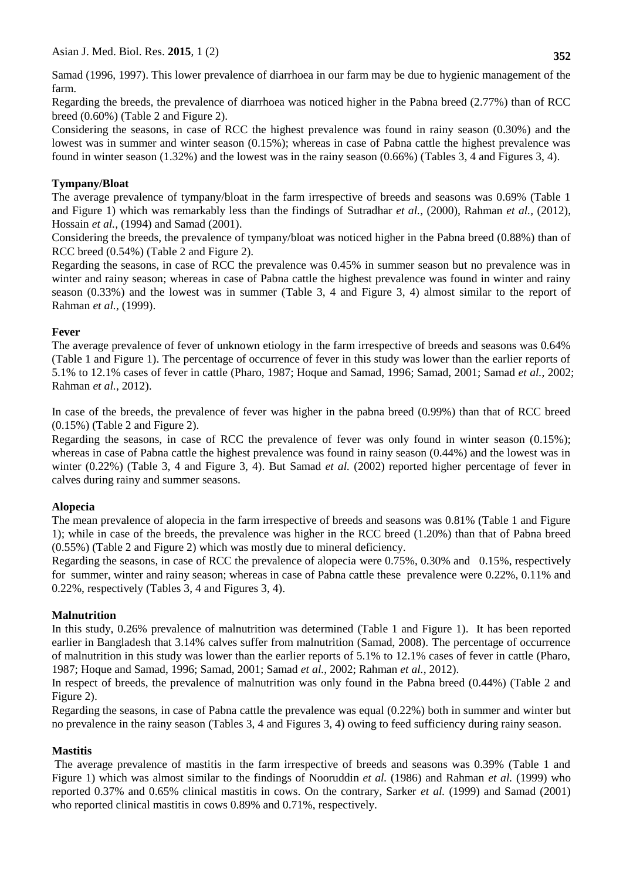Samad (1996, 1997). This lower prevalence of diarrhoea in our farm may be due to hygienic management of the farm.

Regarding the breeds, the prevalence of diarrhoea was noticed higher in the Pabna breed (2.77%) than of RCC breed (0.60%) (Table 2 and Figure 2).

Considering the seasons, in case of RCC the highest prevalence was found in rainy season (0.30%) and the lowest was in summer and winter season (0.15%); whereas in case of Pabna cattle the highest prevalence was found in winter season (1.32%) and the lowest was in the rainy season (0.66%) (Tables 3, 4 and Figures 3, 4).

### **Tympany/Bloat**

The average prevalence of tympany/bloat in the farm irrespective of breeds and seasons was 0.69% (Table 1 and Figure 1) which was remarkably less than the findings of Sutradhar *et al.*, (2000), Rahman *et al.,* (2012), Hossain *et al.,* (1994) and Samad (2001).

Considering the breeds, the prevalence of tympany/bloat was noticed higher in the Pabna breed (0.88%) than of RCC breed (0.54%) (Table 2 and Figure 2).

Regarding the seasons, in case of RCC the prevalence was 0.45% in summer season but no prevalence was in winter and rainy season; whereas in case of Pabna cattle the highest prevalence was found in winter and rainy season (0.33%) and the lowest was in summer (Table 3, 4 and Figure 3, 4) almost similar to the report of Rahman *et al.,* (1999).

### **Fever**

The average prevalence of fever of unknown etiology in the farm irrespective of breeds and seasons was 0.64% (Table 1 and Figure 1). The percentage of occurrence of fever in this study was lower than the earlier reports of 5.1% to 12.1% cases of fever in cattle (Pharo, 1987; Hoque and Samad, 1996; Samad, 2001; Samad *et al.*, 2002; Rahman *et al.*, 2012).

In case of the breeds, the prevalence of fever was higher in the pabna breed (0.99%) than that of RCC breed (0.15%) (Table 2 and Figure 2).

Regarding the seasons, in case of RCC the prevalence of fever was only found in winter season (0.15%); whereas in case of Pabna cattle the highest prevalence was found in rainy season (0.44%) and the lowest was in winter (0.22%) (Table 3, 4 and Figure 3, 4). But Samad *et al.* (2002) reported higher percentage of fever in calves during rainy and summer seasons.

#### **Alopecia**

The mean prevalence of alopecia in the farm irrespective of breeds and seasons was 0.81% (Table 1 and Figure 1); while in case of the breeds, the prevalence was higher in the RCC breed (1.20%) than that of Pabna breed (0.55%) (Table 2 and Figure 2) which was mostly due to mineral deficiency.

Regarding the seasons, in case of RCC the prevalence of alopecia were 0.75%, 0.30% and 0.15%, respectively for summer, winter and rainy season; whereas in case of Pabna cattle these prevalence were 0.22%, 0.11% and 0.22%, respectively (Tables 3, 4 and Figures 3, 4).

#### **Malnutrition**

In this study, 0.26% prevalence of malnutrition was determined (Table 1 and Figure 1). It has been reported earlier in Bangladesh that 3.14% calves suffer from malnutrition (Samad, 2008). The percentage of occurrence of malnutrition in this study was lower than the earlier reports of 5.1% to 12.1% cases of fever in cattle (Pharo, 1987; Hoque and Samad, 1996; Samad, 2001; Samad *et al.*, 2002; Rahman *et al.*, 2012).

In respect of breeds, the prevalence of malnutrition was only found in the Pabna breed (0.44%) (Table 2 and Figure 2).

Regarding the seasons, in case of Pabna cattle the prevalence was equal (0.22%) both in summer and winter but no prevalence in the rainy season (Tables 3, 4 and Figures 3, 4) owing to feed sufficiency during rainy season.

#### **Mastitis**

The average prevalence of mastitis in the farm irrespective of breeds and seasons was 0.39% (Table 1 and Figure 1) which was almost similar to the findings of Nooruddin *et al.* (1986) and Rahman *et al.* (1999) who reported 0.37% and 0.65% clinical mastitis in cows. On the contrary, Sarker *et al.* (1999) and Samad (2001) who reported clinical mastitis in cows 0.89% and 0.71%, respectively.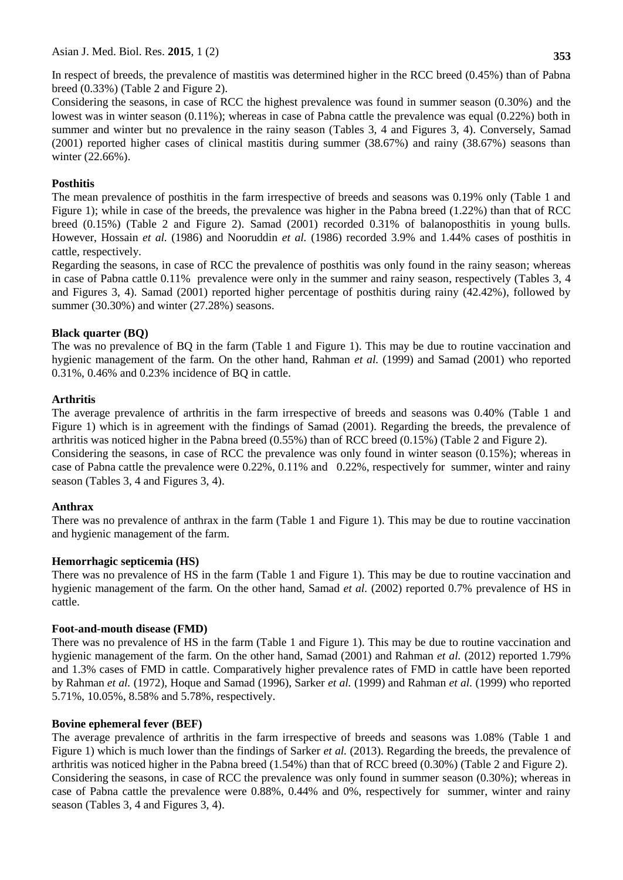In respect of breeds, the prevalence of mastitis was determined higher in the RCC breed (0.45%) than of Pabna breed (0.33%) (Table 2 and Figure 2).

Considering the seasons, in case of RCC the highest prevalence was found in summer season (0.30%) and the lowest was in winter season (0.11%); whereas in case of Pabna cattle the prevalence was equal (0.22%) both in summer and winter but no prevalence in the rainy season (Tables 3, 4 and Figures 3, 4). Conversely, Samad (2001) reported higher cases of clinical mastitis during summer (38.67%) and rainy (38.67%) seasons than winter (22.66%).

## **Posthitis**

The mean prevalence of posthitis in the farm irrespective of breeds and seasons was 0.19% only (Table 1 and Figure 1); while in case of the breeds, the prevalence was higher in the Pabna breed (1.22%) than that of RCC breed (0.15%) (Table 2 and Figure 2). Samad (2001) recorded 0.31% of balanoposthitis in young bulls. However, Hossain *et al.* (1986) and Nooruddin *et al.* (1986) recorded 3.9% and 1.44% cases of posthitis in cattle, respectively.

Regarding the seasons, in case of RCC the prevalence of posthitis was only found in the rainy season; whereas in case of Pabna cattle 0.11% prevalence were only in the summer and rainy season, respectively (Tables 3, 4 and Figures 3, 4). Samad (2001) reported higher percentage of posthitis during rainy (42.42%), followed by summer (30.30%) and winter (27.28%) seasons.

### **Black quarter (BQ)**

The was no prevalence of BQ in the farm (Table 1 and Figure 1). This may be due to routine vaccination and hygienic management of the farm. On the other hand, Rahman *et al.* (1999) and Samad (2001) who reported 0.31%, 0.46% and 0.23% incidence of BQ in cattle.

# **Arthritis**

The average prevalence of arthritis in the farm irrespective of breeds and seasons was 0.40% (Table 1 and Figure 1) which is in agreement with the findings of Samad (2001). Regarding the breeds, the prevalence of arthritis was noticed higher in the Pabna breed (0.55%) than of RCC breed (0.15%) (Table 2 and Figure 2). Considering the seasons, in case of RCC the prevalence was only found in winter season (0.15%); whereas in case of Pabna cattle the prevalence were 0.22%, 0.11% and 0.22%, respectively for summer, winter and rainy

### **Anthrax**

There was no prevalence of anthrax in the farm (Table 1 and Figure 1). This may be due to routine vaccination and hygienic management of the farm.

### **Hemorrhagic septicemia (HS)**

season (Tables 3, 4 and Figures 3, 4).

There was no prevalence of HS in the farm (Table 1 and Figure 1). This may be due to routine vaccination and hygienic management of the farm. On the other hand, Samad *et al.* (2002) reported 0.7% prevalence of HS in cattle.

### **Foot-and-mouth disease (FMD)**

There was no prevalence of HS in the farm (Table 1 and Figure 1). This may be due to routine vaccination and hygienic management of the farm. On the other hand, Samad (2001) and Rahman *et al.* (2012) reported 1.79% and 1.3% cases of FMD in cattle. Comparatively higher prevalence rates of FMD in cattle have been reported by Rahman *et al.* (1972), Hoque and Samad (1996), Sarker *et al.* (1999) and Rahman *et al.* (1999) who reported 5.71%, 10.05%, 8.58% and 5.78%, respectively.

### **Bovine ephemeral fever (BEF)**

The average prevalence of arthritis in the farm irrespective of breeds and seasons was 1.08% (Table 1 and Figure 1) which is much lower than the findings of Sarker *et al.* (2013). Regarding the breeds, the prevalence of arthritis was noticed higher in the Pabna breed (1.54%) than that of RCC breed (0.30%) (Table 2 and Figure 2). Considering the seasons, in case of RCC the prevalence was only found in summer season (0.30%); whereas in case of Pabna cattle the prevalence were 0.88%, 0.44% and 0%, respectively for summer, winter and rainy season (Tables 3, 4 and Figures 3, 4).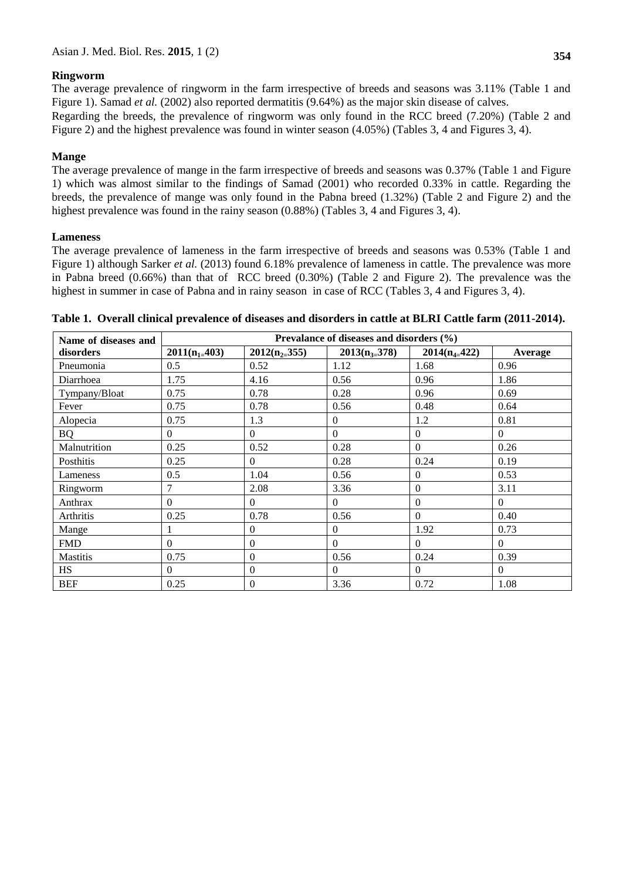### **Ringworm**

The average prevalence of ringworm in the farm irrespective of breeds and seasons was 3.11% (Table 1 and Figure 1). Samad *et al.* (2002) also reported dermatitis (9.64%) as the major skin disease of calves.

Regarding the breeds, the prevalence of ringworm was only found in the RCC breed (7.20%) (Table 2 and Figure 2) and the highest prevalence was found in winter season (4.05%) (Tables 3, 4 and Figures 3, 4).

### **Mange**

The average prevalence of mange in the farm irrespective of breeds and seasons was 0.37% (Table 1 and Figure 1) which was almost similar to the findings of Samad (2001) who recorded 0.33% in cattle. Regarding the breeds, the prevalence of mange was only found in the Pabna breed (1.32%) (Table 2 and Figure 2) and the highest prevalence was found in the rainy season  $(0.88%)$  (Tables 3, 4 and Figures 3, 4).

### **Lameness**

The average prevalence of lameness in the farm irrespective of breeds and seasons was 0.53% (Table 1 and Figure 1) although Sarker *et al.* (2013) found 6.18% prevalence of lameness in cattle. The prevalence was more in Pabna breed (0.66%) than that of RCC breed (0.30%) (Table 2 and Figure 2). The prevalence was the highest in summer in case of Pabna and in rainy season in case of RCC (Tables 3, 4 and Figures 3, 4).

| Name of diseases and | Prevalance of diseases and disorders (%) |                   |                   |                   |          |  |
|----------------------|------------------------------------------|-------------------|-------------------|-------------------|----------|--|
| disorders            | $2011(n_{1} = 403)$                      | $2012(n_{2}=355)$ | $2013(n_{3=}378)$ | $2014(n_{4=}422)$ | Average  |  |
| Pneumonia            | 0.5                                      | 0.52              | 1.12              | 1.68              | 0.96     |  |
| Diarrhoea            | 1.75                                     | 4.16              | 0.56              | 0.96              | 1.86     |  |
| Tympany/Bloat        | 0.75                                     | 0.78              | 0.28              | 0.96              | 0.69     |  |
| Fever                | 0.75                                     | 0.78              | 0.56              | 0.48              | 0.64     |  |
| Alopecia             | 0.75                                     | 1.3               | $\theta$          | 1.2               | 0.81     |  |
| <b>BQ</b>            | $\Omega$                                 | $\theta$          | $\Omega$          | $\Omega$          | $\Omega$ |  |
| Malnutrition         | 0.25                                     | 0.52              | 0.28              | $\Omega$          | 0.26     |  |
| Posthitis            | 0.25                                     | $\Omega$          | 0.28              | 0.24              | 0.19     |  |
| Lameness             | 0.5                                      | 1.04              | 0.56              | $\mathbf{0}$      | 0.53     |  |
| Ringworm             | 7                                        | 2.08              | 3.36              | $\overline{0}$    | 3.11     |  |
| Anthrax              | $\Omega$                                 | $\Omega$          | $\Omega$          | $\Omega$          | $\Omega$ |  |
| Arthritis            | 0.25                                     | 0.78              | 0.56              | $\mathbf{0}$      | 0.40     |  |
| Mange                |                                          | $\Omega$          | $\Omega$          | 1.92              | 0.73     |  |
| <b>FMD</b>           | $\Omega$                                 | $\Omega$          | $\Omega$          | $\Omega$          | $\Omega$ |  |
| Mastitis             | 0.75                                     | $\Omega$          | 0.56              | 0.24              | 0.39     |  |
| HS                   | $\Omega$                                 | $\Omega$          | $\Omega$          | $\Omega$          | $\Omega$ |  |
| <b>BEF</b>           | 0.25                                     | $\mathbf{0}$      | 3.36              | 0.72              | 1.08     |  |

**Table 1. Overall clinical prevalence of diseases and disorders in cattle at BLRI Cattle farm (2011-2014).**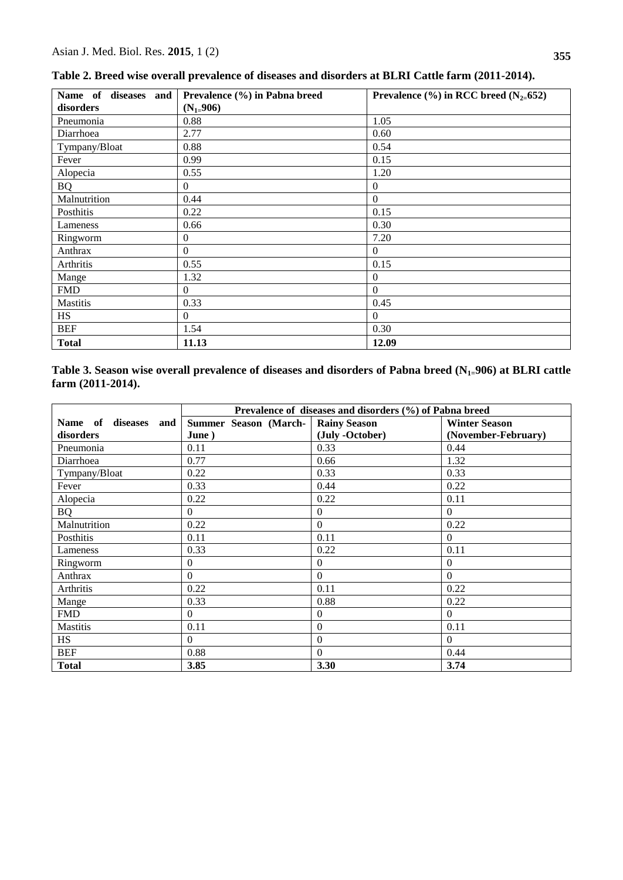| Name of diseases and<br>disorders | Prevalence (%) in Pabna breed<br>$(N_{1=}906)$ | Prevalence $\left(\frac{9}{6}\right)$ in RCC breed $\left(N_{2=652}\right)$ |
|-----------------------------------|------------------------------------------------|-----------------------------------------------------------------------------|
| Pneumonia                         | 0.88                                           | 1.05                                                                        |
| Diarrhoea                         | 2.77                                           | 0.60                                                                        |
| Tympany/Bloat                     | 0.88                                           | 0.54                                                                        |
| Fever                             | 0.99                                           | 0.15                                                                        |
| Alopecia                          | 0.55                                           | 1.20                                                                        |
| <b>BQ</b>                         | $\mathbf{0}$                                   | $\theta$                                                                    |
| Malnutrition                      | 0.44                                           | $\Omega$                                                                    |
| Posthitis                         | 0.22                                           | 0.15                                                                        |
| Lameness                          | 0.66                                           | 0.30                                                                        |
| Ringworm                          | $\theta$                                       | 7.20                                                                        |
| Anthrax                           | $\boldsymbol{0}$                               | $\Omega$                                                                    |
| Arthritis                         | 0.55                                           | 0.15                                                                        |
| Mange                             | 1.32                                           | $\Omega$                                                                    |
| <b>FMD</b>                        | $\Omega$                                       | $\Omega$                                                                    |
| Mastitis                          | 0.33                                           | 0.45                                                                        |
| <b>HS</b>                         | $\Omega$                                       | $\Omega$                                                                    |
| <b>BEF</b>                        | 1.54                                           | 0.30                                                                        |
| <b>Total</b>                      | 11.13                                          | 12.09                                                                       |

**Table 2. Breed wise overall prevalence of diseases and disorders at BLRI Cattle farm (2011-2014).**

**Table 3. Season wise overall prevalence of diseases and disorders of Pabna breed (N1=906) at BLRI cattle farm (2011-2014).**

|                         | Prevalence of diseases and disorders (%) of Pabna breed |                     |                      |  |
|-------------------------|---------------------------------------------------------|---------------------|----------------------|--|
| Name of<br>diseases and | Summer Season (March-                                   | <b>Rainy Season</b> | <b>Winter Season</b> |  |
| disorders               | June)                                                   | (July -October)     | (November-February)  |  |
| Pneumonia               | 0.11                                                    | 0.33                | 0.44                 |  |
| Diarrhoea               | 0.77                                                    | 0.66                | 1.32                 |  |
| Tympany/Bloat           | 0.22                                                    | 0.33                | 0.33                 |  |
| Fever                   | 0.33                                                    | 0.44                | 0.22                 |  |
| Alopecia                | 0.22                                                    | 0.22                | 0.11                 |  |
| <b>BQ</b>               | $\Omega$                                                | $\mathbf{0}$        | $\Omega$             |  |
| Malnutrition            | 0.22                                                    | $\Omega$            | 0.22                 |  |
| Posthitis               | 0.11                                                    | 0.11                | $\Omega$             |  |
| Lameness                | 0.33                                                    | 0.22                | 0.11                 |  |
| Ringworm                | $\Omega$                                                | $\overline{0}$      | $\overline{0}$       |  |
| Anthrax                 | $\Omega$                                                | $\Omega$            | $\Omega$             |  |
| Arthritis               | 0.22                                                    | 0.11                | 0.22                 |  |
| Mange                   | 0.33                                                    | 0.88                | 0.22                 |  |
| <b>FMD</b>              | $\Omega$                                                | $\theta$            | $\Omega$             |  |
| <b>Mastitis</b>         | 0.11                                                    | $\boldsymbol{0}$    | 0.11                 |  |
| <b>HS</b>               | $\Omega$                                                | $\boldsymbol{0}$    | $\Omega$             |  |
| <b>BEF</b>              | 0.88                                                    | $\theta$            | 0.44                 |  |
| <b>Total</b>            | 3.85                                                    | 3.30                | 3.74                 |  |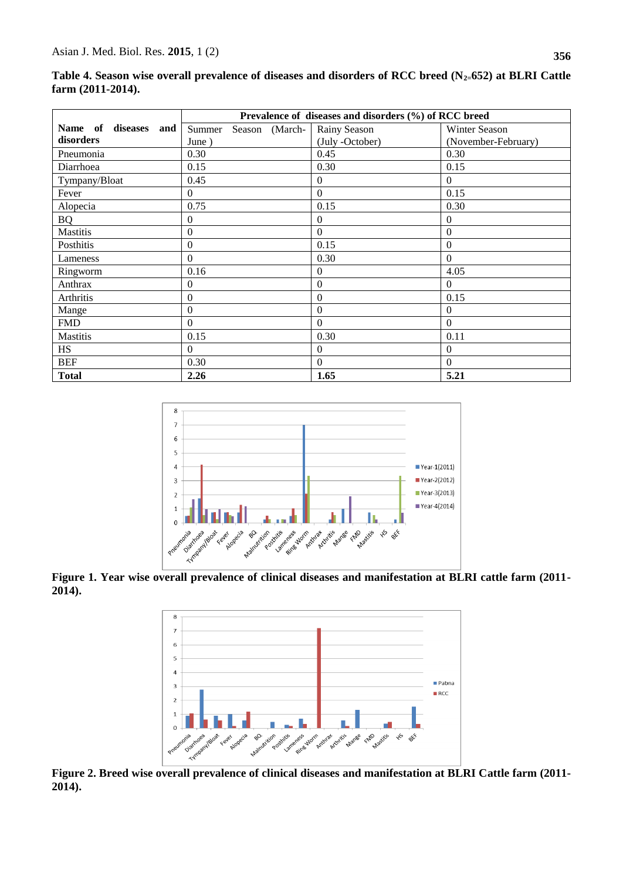|                         | Prevalence of diseases and disorders (%) of RCC breed |                  |                     |
|-------------------------|-------------------------------------------------------|------------------|---------------------|
| Name of<br>diseases and | Summer<br>Season (March-                              | Rainy Season     | Winter Season       |
| disorders               | June)                                                 | (July -October)  | (November-February) |
| Pneumonia               | 0.30                                                  | 0.45             | 0.30                |
| Diarrhoea               | 0.15                                                  | 0.30             | 0.15                |
| Tympany/Bloat           | 0.45                                                  | $\theta$         | $\Omega$            |
| Fever                   | $\Omega$                                              | $\mathbf{0}$     | 0.15                |
| Alopecia                | 0.75                                                  | 0.15             | 0.30                |
| <b>BQ</b>               | $\Omega$                                              | $\boldsymbol{0}$ | $\Omega$            |
| Mastitis                | $\Omega$                                              | $\mathbf{0}$     | $\mathbf{0}$        |
| Posthitis               | $\Omega$                                              | 0.15             | $\mathbf{0}$        |
| Lameness                | $\Omega$                                              | 0.30             | $\Omega$            |
| Ringworm                | 0.16                                                  | $\boldsymbol{0}$ | 4.05                |
| Anthrax                 | $\theta$                                              | $\boldsymbol{0}$ | $\Omega$            |
| Arthritis               | $\Omega$                                              | $\mathbf{0}$     | 0.15                |
| Mange                   | $\boldsymbol{0}$                                      | $\overline{0}$   | $\theta$            |
| <b>FMD</b>              | $\Omega$                                              | $\theta$         | $\Omega$            |
| <b>Mastitis</b>         | 0.15                                                  | 0.30             | 0.11                |
| <b>HS</b>               | $\Omega$                                              | $\overline{0}$   | $\theta$            |
| <b>BEF</b>              | 0.30                                                  | $\Omega$         | $\Omega$            |
| <b>Total</b>            | 2.26                                                  | 1.65             | 5.21                |

**Table 4. Season wise overall prevalence of diseases and disorders of RCC breed (N2=652) at BLRI Cattle farm (2011-2014).**



**Figure 1. Year wise overall prevalence of clinical diseases and manifestation at BLRI cattle farm (2011- 2014).**



**Figure 2. Breed wise overall prevalence of clinical diseases and manifestation at BLRI Cattle farm (2011- 2014).**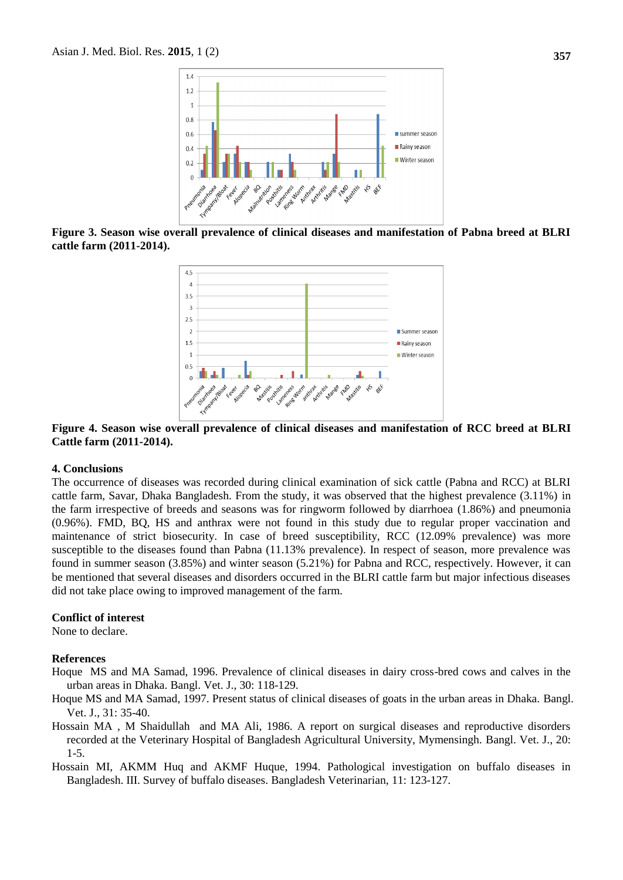

**Figure 3. Season wise overall prevalence of clinical diseases and manifestation of Pabna breed at BLRI cattle farm (2011-2014).**



### **Figure 4. Season wise overall prevalence of clinical diseases and manifestation of RCC breed at BLRI Cattle farm (2011-2014).**

#### **4. Conclusions**

The occurrence of diseases was recorded during clinical examination of sick cattle (Pabna and RCC) at BLRI cattle farm, Savar, Dhaka Bangladesh. From the study, it was observed that the highest prevalence (3.11%) in the farm irrespective of breeds and seasons was for ringworm followed by diarrhoea (1.86%) and pneumonia (0.96%). FMD, BQ, HS and anthrax were not found in this study due to regular proper vaccination and maintenance of strict biosecurity. In case of breed susceptibility, RCC (12.09% prevalence) was more susceptible to the diseases found than Pabna (11.13% prevalence). In respect of season, more prevalence was found in summer season (3.85%) and winter season (5.21%) for Pabna and RCC, respectively. However, it can be mentioned that several diseases and disorders occurred in the BLRI cattle farm but major infectious diseases did not take place owing to improved management of the farm.

#### **Conflict of interest**

None to declare.

## **References**

- Hoque MS and MA Samad, 1996. Prevalence of clinical diseases in dairy cross-bred cows and calves in the urban areas in Dhaka. Bangl. Vet. J., 30: 118-129.
- Hoque MS and MA Samad, 1997. Present status of clinical diseases of goats in the urban areas in Dhaka. Bangl. Vet. J., 31: 35-40.
- Hossain MA , M Shaidullah and MA Ali, 1986. A report on surgical diseases and reproductive disorders recorded at the Veterinary Hospital of Bangladesh Agricultural University, Mymensingh. Bangl. Vet. J., 20: 1-5.

Hossain MI, AKMM Huq and AKMF Huque, 1994. Pathological investigation on buffalo diseases in Bangladesh. III. Survey of buffalo diseases. Bangladesh Veterinarian, 11: 123-127.